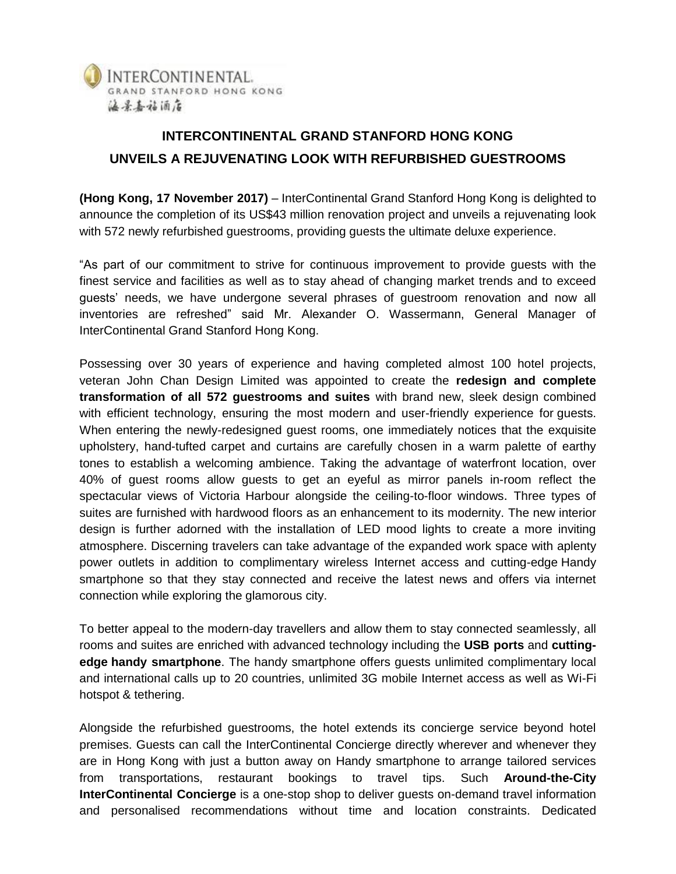

## **INTERCONTINENTAL GRAND STANFORD HONG KONG UNVEILS A REJUVENATING LOOK WITH REFURBISHED GUESTROOMS**

**(Hong Kong, 17 November 2017)** – InterContinental Grand Stanford Hong Kong is delighted to announce the completion of its US\$43 million renovation project and unveils a rejuvenating look with 572 newly refurbished guestrooms, providing guests the ultimate deluxe experience.

"As part of our commitment to strive for continuous improvement to provide guests with the finest service and facilities as well as to stay ahead of changing market trends and to exceed guests' needs, we have undergone several phrases of guestroom renovation and now all inventories are refreshed" said Mr. Alexander O. Wassermann, General Manager of InterContinental Grand Stanford Hong Kong.

Possessing over 30 years of experience and having completed almost 100 hotel projects, veteran John Chan Design Limited was appointed to create the **redesign and complete transformation of all 572 guestrooms and suites** with brand new, sleek design combined with efficient technology, ensuring the most modern and user-friendly experience for guests. When entering the newly-redesigned guest rooms, one immediately notices that the exquisite upholstery, hand-tufted carpet and curtains are carefully chosen in a warm palette of earthy tones to establish a welcoming ambience. Taking the advantage of waterfront location, over 40% of guest rooms allow guests to get an eyeful as mirror panels in-room reflect the spectacular views of Victoria Harbour alongside the ceiling-to-floor windows. Three types of suites are furnished with hardwood floors as an enhancement to its modernity. The new interior design is further adorned with the installation of LED mood lights to create a more inviting atmosphere. Discerning travelers can take advantage of the expanded work space with aplenty power outlets in addition to complimentary wireless Internet access and cutting-edge Handy smartphone so that they stay connected and receive the latest news and offers via internet connection while exploring the glamorous city.

To better appeal to the modern-day travellers and allow them to stay connected seamlessly, all rooms and suites are enriched with advanced technology including the **USB ports** and **cuttingedge handy smartphone**. The handy smartphone offers guests unlimited complimentary local and international calls up to 20 countries, unlimited 3G mobile Internet access as well as Wi-Fi hotspot & tethering.

Alongside the refurbished guestrooms, the hotel extends its concierge service beyond hotel premises. Guests can call the InterContinental Concierge directly wherever and whenever they are in Hong Kong with just a button away on Handy smartphone to arrange tailored services from transportations, restaurant bookings to travel tips. Such **Around-the-City InterContinental Concierge** is a one-stop shop to deliver guests on-demand travel information and personalised recommendations without time and location constraints. Dedicated